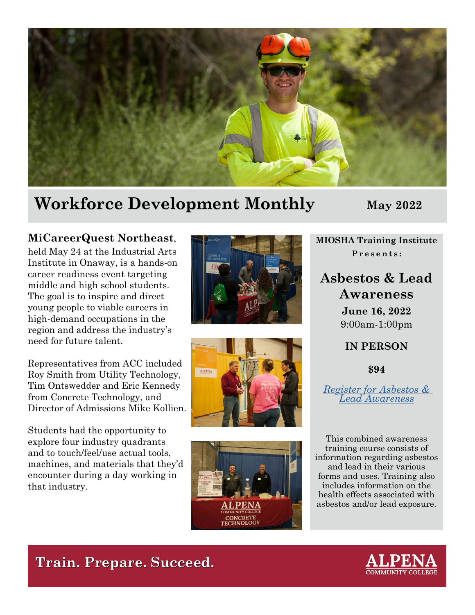

## **Workforce Development Monthly May 2022**

#### **MiCareerQuest Northeast**,

held May 24 at the Industrial Arts Institute in Onaway, is a hands-on career readiness event targeting middle and high school students. The goal is to inspire and direct young people to viable careers in high-demand occupations in the region and address the industry's need for future talent.

Representatives from ACC included Roy Smith from Utility Technology, Tim Ontswedder and Eric Kennedy from Concrete Technology, and Director of Admissions Mike Kollien.

Students had the opportunity to explore four industry quadrants and to touch/feel/use actual tools, machines, and materials that they'd encounter during a day working in that industry.







**MIOSHA Training Institute Presents:**

### **Asbestos & Lead Awareness**

**June 16, 2022** 9:00am-1:00pm

**IN PERSON**

**\$94**

*[Register for Asbestos & Lead Awareness](https://www.michigan.gov/leo/-/media/Project/Websites/leo/Documents/MIOSHA/MTI/June/06-16-2022-Alpena.pdf?rev=e749f3e583f94166b3aeeb0c2aa895c6&hash=A030578E830C86528F6CFBAED49C1001)*

This combined awareness training course consists of information regarding asbestos and lead in their various forms and uses. Training also includes information on the health effects associated with asbestos and/or lead exposure.